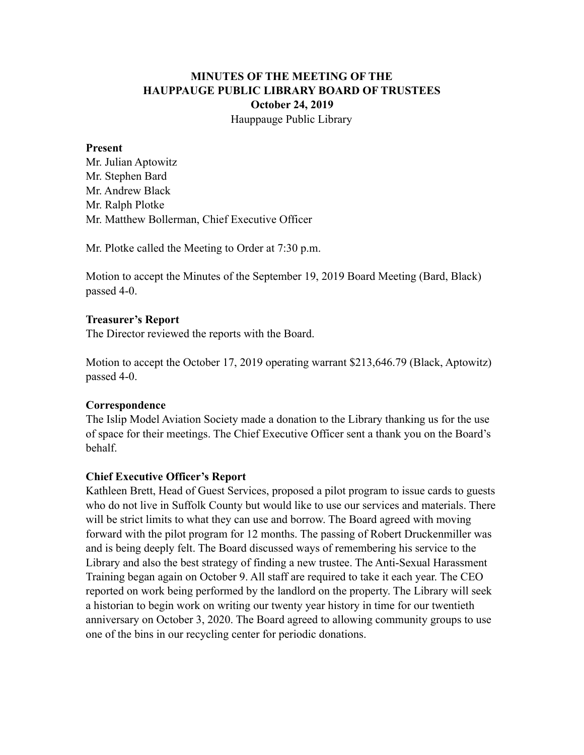# **MINUTES OF THE MEETING OF THE HAUPPAUGE PUBLIC LIBRARY BOARD OF TRUSTEES October 24, 2019** Hauppauge Public Library

### **Present**

Mr. Julian Aptowitz Mr. Stephen Bard Mr. Andrew Black Mr. Ralph Plotke Mr. Matthew Bollerman, Chief Executive Officer

Mr. Plotke called the Meeting to Order at 7:30 p.m.

Motion to accept the Minutes of the September 19, 2019 Board Meeting (Bard, Black) passed 4-0.

### **Treasurer's Report**

The Director reviewed the reports with the Board.

Motion to accept the October 17, 2019 operating warrant \$213,646.79 (Black, Aptowitz) passed 4-0.

### **Correspondence**

The Islip Model Aviation Society made a donation to the Library thanking us for the use of space for their meetings. The Chief Executive Officer sent a thank you on the Board's behalf.

### **Chief Executive Officer's Report**

Kathleen Brett, Head of Guest Services, proposed a pilot program to issue cards to guests who do not live in Suffolk County but would like to use our services and materials. There will be strict limits to what they can use and borrow. The Board agreed with moving forward with the pilot program for 12 months. The passing of Robert Druckenmiller was and is being deeply felt. The Board discussed ways of remembering his service to the Library and also the best strategy of finding a new trustee. The Anti-Sexual Harassment Training began again on October 9. All staff are required to take it each year. The CEO reported on work being performed by the landlord on the property. The Library will seek a historian to begin work on writing our twenty year history in time for our twentieth anniversary on October 3, 2020. The Board agreed to allowing community groups to use one of the bins in our recycling center for periodic donations.